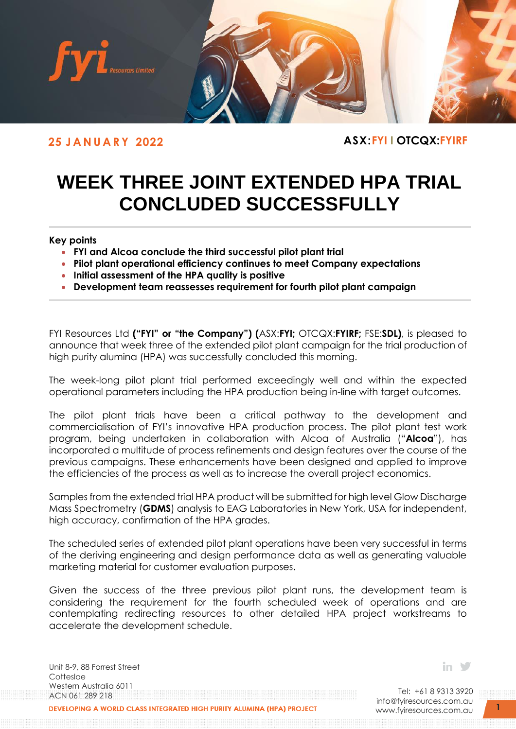

**25 J A N U A R Y 2022 ASX:FYI I OTCQX:FYIRF**

# **WEEK THREE JOINT EXTENDED HPA TRIAL CONCLUDED SUCCESSFULLY**

# **Key points**

- **FYI and Alcoa conclude the third successful pilot plant trial**
- **Pilot plant operational efficiency continues to meet Company expectations**
- **Initial assessment of the HPA quality is positive**
- **Development team reassesses requirement for fourth pilot plant campaign**

FYI Resources Ltd **("FYI" or "the Company") (**ASX:**FYI;** OTCQX:**FYIRF;** FSE:**SDL)**, is pleased to announce that week three of the extended pilot plant campaign for the trial production of high purity alumina (HPA) was successfully concluded this morning.

The week-long pilot plant trial performed exceedingly well and within the expected operational parameters including the HPA production being in-line with target outcomes.

The pilot plant trials have been a critical pathway to the development and commercialisation of FYI's innovative HPA production process. The pilot plant test work program, being undertaken in collaboration with Alcoa of Australia ("**Alcoa**"), has incorporated a multitude of process refinements and design features over the course of the previous campaigns. These enhancements have been designed and applied to improve the efficiencies of the process as well as to increase the overall project economics.

Samples from the extended trial HPA product will be submitted for high level Glow Discharge Mass Spectrometry (**GDMS**) analysis to EAG Laboratories in New York, USA for independent, high accuracy, confirmation of the HPA grades.

The scheduled series of extended pilot plant operations have been very successful in terms of the deriving engineering and design performance data as well as generating valuable marketing material for customer evaluation purposes.

Given the success of the three previous pilot plant runs, the development team is considering the requirement for the fourth scheduled week of operations and are contemplating redirecting resources to other detailed HPA project workstreams to accelerate the development schedule.

Unit 8-9, 88 Forrest Street **Cottesloe** Western Australia 6011 ACN 061 289 218

in  $\mathcal Y$ 

Tel: +61 8 9313 3920 [info@fyiresources.com.au](mailto:info@fyiresources.com.au) [www.fyiresources.com.au](mailto:https://www.fyiresources.com.au/)